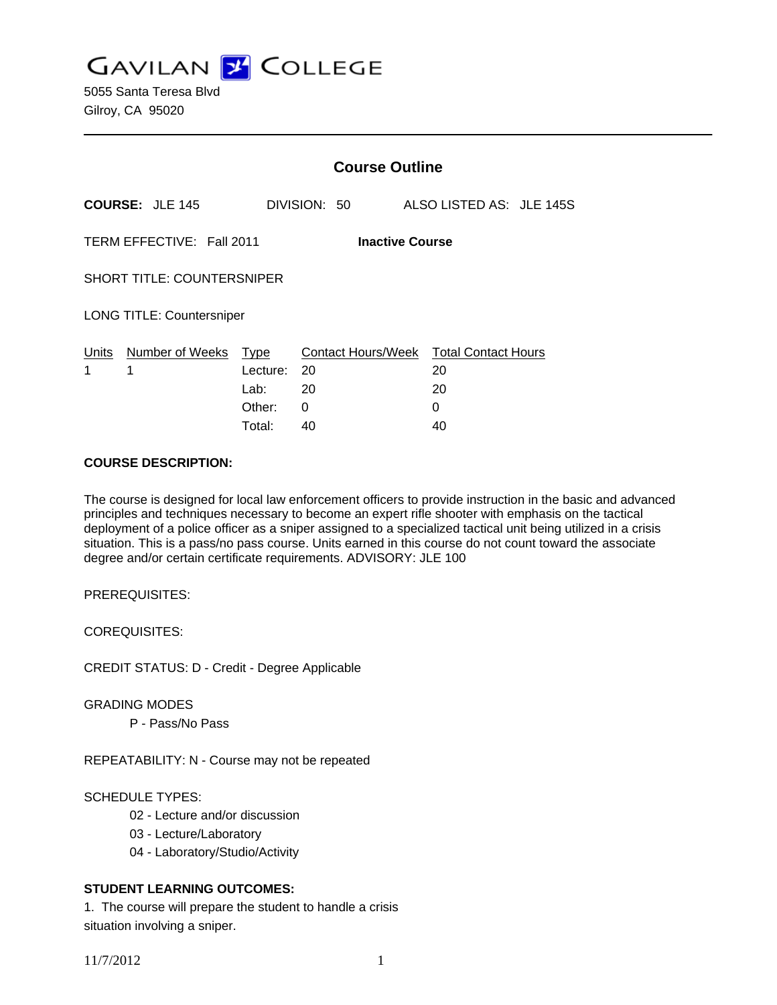**GAVILAN J COLLEGE** 

|                                   |                           | <b>Course Outline</b>              |                        |                                                         |  |
|-----------------------------------|---------------------------|------------------------------------|------------------------|---------------------------------------------------------|--|
|                                   | <b>COURSE: JLE 145</b>    |                                    | DIVISION: 50           | ALSO LISTED AS: JLE 145S                                |  |
|                                   | TERM EFFECTIVE: Fall 2011 |                                    | <b>Inactive Course</b> |                                                         |  |
| <b>SHORT TITLE: COUNTERSNIPER</b> |                           |                                    |                        |                                                         |  |
| <b>LONG TITLE: Countersniper</b>  |                           |                                    |                        |                                                         |  |
| Units<br>1                        | Number of Weeks<br>1      | Type<br>Lecture:<br>Lab:<br>Other: | -20<br>20<br>0         | Contact Hours/Week Total Contact Hours<br>20<br>20<br>0 |  |
|                                   |                           | Total:                             | 40                     | 40                                                      |  |

#### **COURSE DESCRIPTION:**

The course is designed for local law enforcement officers to provide instruction in the basic and advanced principles and techniques necessary to become an expert rifle shooter with emphasis on the tactical deployment of a police officer as a sniper assigned to a specialized tactical unit being utilized in a crisis situation. This is a pass/no pass course. Units earned in this course do not count toward the associate degree and/or certain certificate requirements. ADVISORY: JLE 100

PREREQUISITES:

COREQUISITES:

CREDIT STATUS: D - Credit - Degree Applicable

GRADING MODES

P - Pass/No Pass

REPEATABILITY: N - Course may not be repeated

### SCHEDULE TYPES:

- 02 Lecture and/or discussion
- 03 Lecture/Laboratory
- 04 Laboratory/Studio/Activity

### **STUDENT LEARNING OUTCOMES:**

1. The course will prepare the student to handle a crisis situation involving a sniper.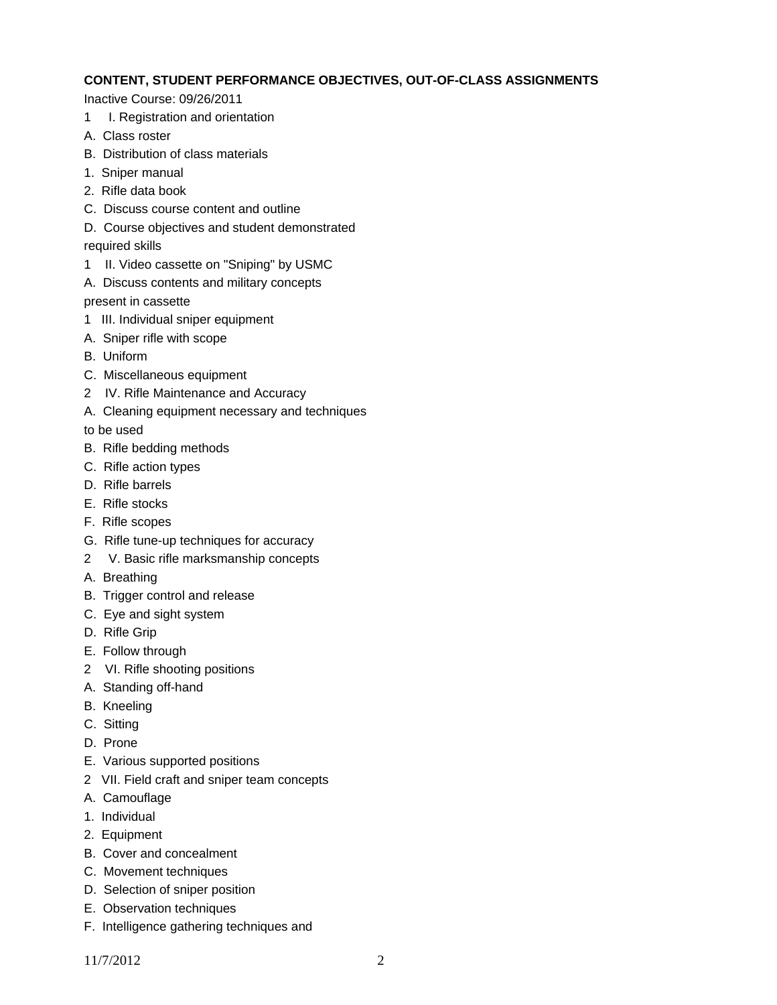### **CONTENT, STUDENT PERFORMANCE OBJECTIVES, OUT-OF-CLASS ASSIGNMENTS**

Inactive Course: 09/26/2011

- 1 I. Registration and orientation
- A. Class roster
- B. Distribution of class materials
- 1. Sniper manual
- 2. Rifle data book
- C. Discuss course content and outline
- D. Course objectives and student demonstrated
- required skills
- 1 II. Video cassette on "Sniping" by USMC
- A. Discuss contents and military concepts

present in cassette

- 1 III. Individual sniper equipment
- A. Sniper rifle with scope
- B. Uniform
- C. Miscellaneous equipment
- 2 IV. Rifle Maintenance and Accuracy
- A. Cleaning equipment necessary and techniques

to be used

- B. Rifle bedding methods
- C. Rifle action types
- D. Rifle barrels
- E. Rifle stocks
- F. Rifle scopes
- G. Rifle tune-up techniques for accuracy
- 2 V. Basic rifle marksmanship concepts
- A. Breathing
- B. Trigger control and release
- C. Eye and sight system
- D. Rifle Grip
- E. Follow through
- 2 VI. Rifle shooting positions
- A. Standing off-hand
- B. Kneeling
- C. Sitting
- D. Prone
- E. Various supported positions
- 2 VII. Field craft and sniper team concepts
- A. Camouflage
- 1. Individual
- 2. Equipment
- B. Cover and concealment
- C. Movement techniques
- D. Selection of sniper position
- E. Observation techniques
- F. Intelligence gathering techniques and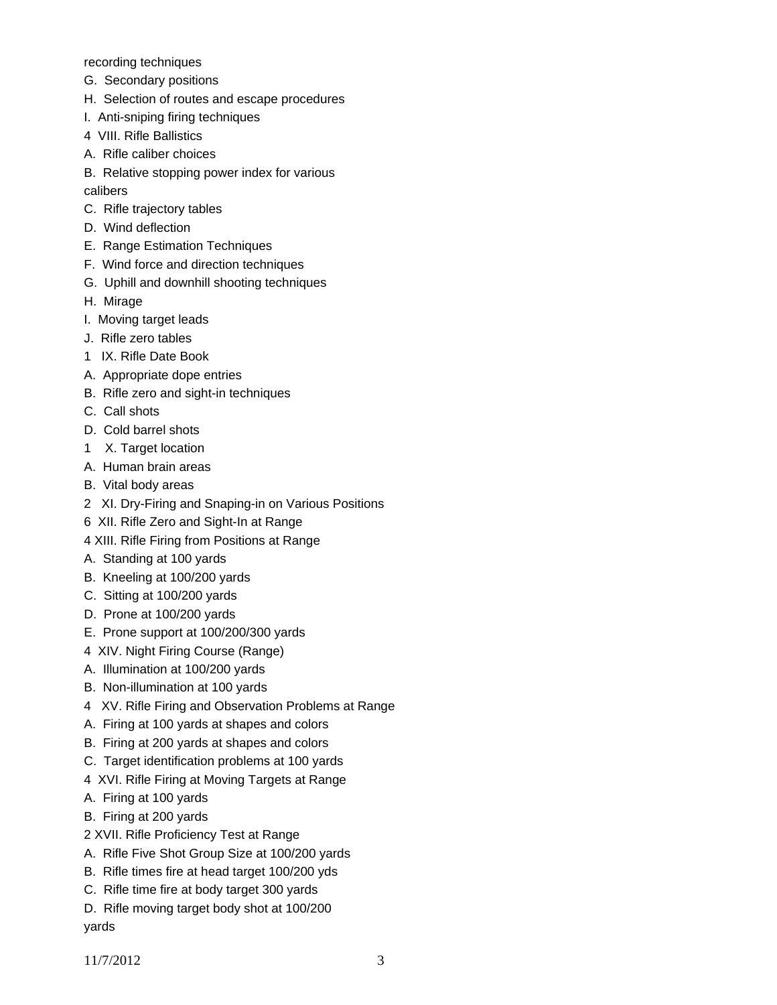recording techniques

- G. Secondary positions
- H. Selection of routes and escape procedures
- I. Anti-sniping firing techniques
- 4 VIII. Rifle Ballistics
- A. Rifle caliber choices
- B. Relative stopping power index for various

calibers

- C. Rifle trajectory tables
- D. Wind deflection
- E. Range Estimation Techniques
- F. Wind force and direction techniques
- G. Uphill and downhill shooting techniques
- H. Mirage
- I. Moving target leads
- J. Rifle zero tables
- 1 IX. Rifle Date Book
- A. Appropriate dope entries
- B. Rifle zero and sight-in techniques
- C. Call shots
- D. Cold barrel shots
- 1 X. Target location
- A. Human brain areas
- B. Vital body areas
- 2 XI. Dry-Firing and Snaping-in on Various Positions
- 6 XII. Rifle Zero and Sight-In at Range
- 4 XIII. Rifle Firing from Positions at Range
- A. Standing at 100 yards
- B. Kneeling at 100/200 yards
- C. Sitting at 100/200 yards
- D. Prone at 100/200 yards
- E. Prone support at 100/200/300 yards
- 4 XIV. Night Firing Course (Range)
- A. Illumination at 100/200 yards
- B. Non-illumination at 100 yards
- 4 XV. Rifle Firing and Observation Problems at Range
- A. Firing at 100 yards at shapes and colors
- B. Firing at 200 yards at shapes and colors
- C. Target identification problems at 100 yards
- 4 XVI. Rifle Firing at Moving Targets at Range
- A. Firing at 100 yards
- B. Firing at 200 yards
- 2 XVII. Rifle Proficiency Test at Range
- A. Rifle Five Shot Group Size at 100/200 yards
- B. Rifle times fire at head target 100/200 yds
- C. Rifle time fire at body target 300 yards
- D. Rifle moving target body shot at 100/200 yards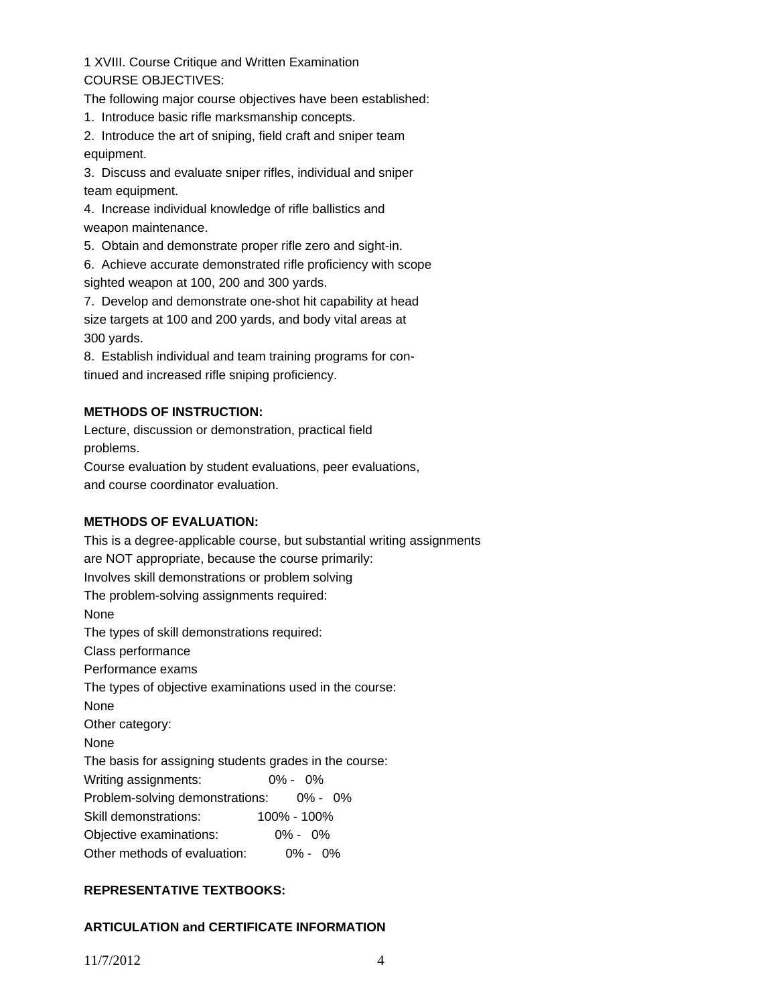1 XVIII. Course Critique and Written Examination COURSE OBJECTIVES:

The following major course objectives have been established:

1. Introduce basic rifle marksmanship concepts.

2. Introduce the art of sniping, field craft and sniper team equipment.

3. Discuss and evaluate sniper rifles, individual and sniper team equipment.

4. Increase individual knowledge of rifle ballistics and weapon maintenance.

5. Obtain and demonstrate proper rifle zero and sight-in.

6. Achieve accurate demonstrated rifle proficiency with scope sighted weapon at 100, 200 and 300 yards.

7. Develop and demonstrate one-shot hit capability at head size targets at 100 and 200 yards, and body vital areas at 300 yards.

8. Establish individual and team training programs for continued and increased rifle sniping proficiency.

## **METHODS OF INSTRUCTION:**

Lecture, discussion or demonstration, practical field problems.

Course evaluation by student evaluations, peer evaluations, and course coordinator evaluation.

## **METHODS OF EVALUATION:**

This is a degree-applicable course, but substantial writing assignments are NOT appropriate, because the course primarily: Involves skill demonstrations or problem solving The problem-solving assignments required: None The types of skill demonstrations required: Class performance Performance exams The types of objective examinations used in the course: None Other category: None The basis for assigning students grades in the course: Writing assignments: 0% - 0% Problem-solving demonstrations: 0% - 0% Skill demonstrations: 100% - 100% Objective examinations: 0% - 0% Other methods of evaluation: 0% - 0%

## **REPRESENTATIVE TEXTBOOKS:**

# **ARTICULATION and CERTIFICATE INFORMATION**